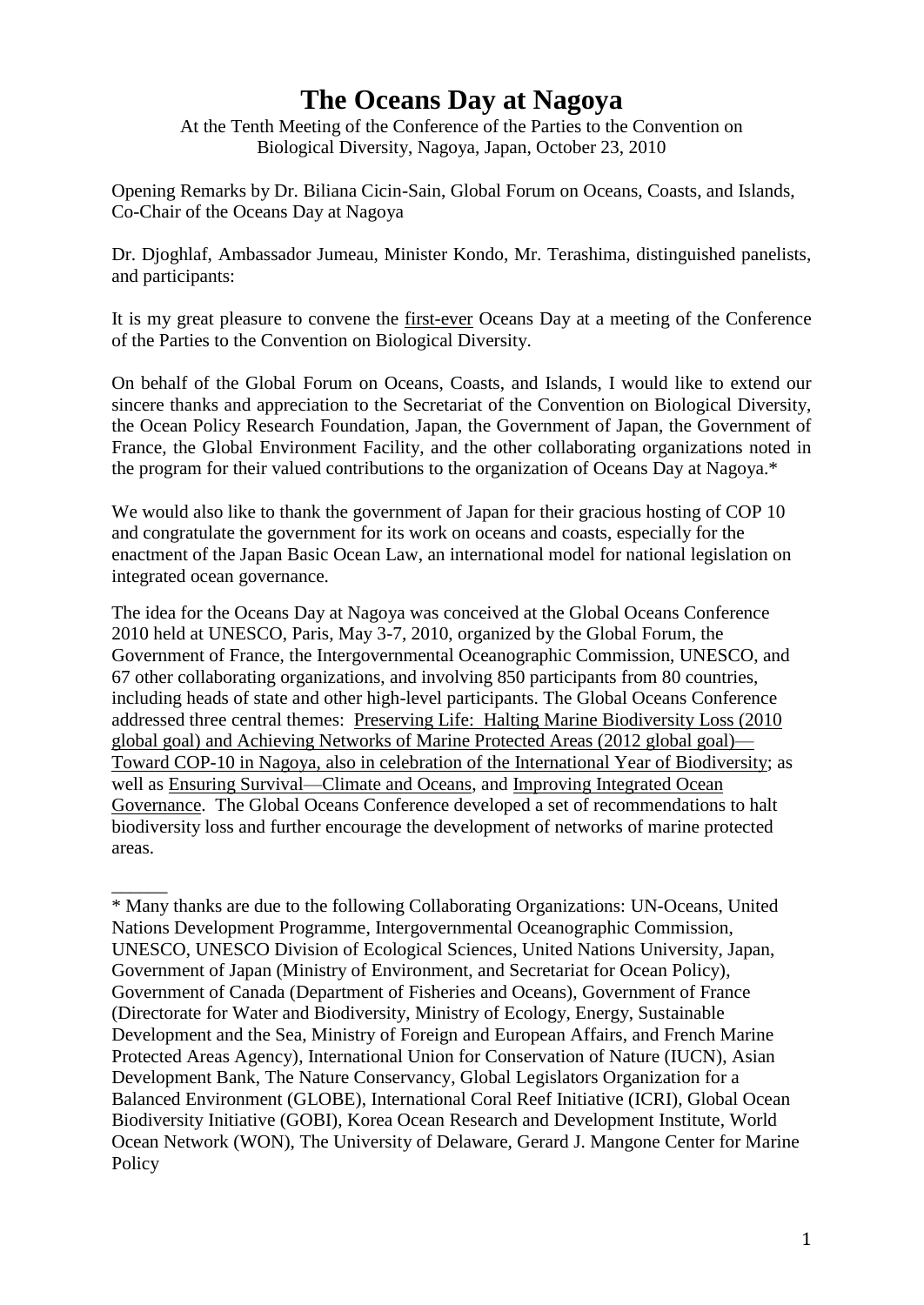## **The Oceans Day at Nagoya**

At the Tenth Meeting of the Conference of the Parties to the Convention on Biological Diversity, Nagoya, Japan, October 23, 2010

Opening Remarks by Dr. Biliana Cicin-Sain, Global Forum on Oceans, Coasts, and Islands, Co-Chair of the Oceans Day at Nagoya

Dr. Djoghlaf, Ambassador Jumeau, Minister Kondo, Mr. Terashima, distinguished panelists, and participants:

It is my great pleasure to convene the first-ever Oceans Day at a meeting of the Conference of the Parties to the Convention on Biological Diversity.

On behalf of the Global Forum on Oceans, Coasts, and Islands, I would like to extend our sincere thanks and appreciation to the Secretariat of the Convention on Biological Diversity, the Ocean Policy Research Foundation, Japan, the Government of Japan, the Government of France, the Global Environment Facility, and the other collaborating organizations noted in the program for their valued contributions to the organization of Oceans Day at Nagoya.\*

We would also like to thank the government of Japan for their gracious hosting of COP 10 and congratulate the government for its work on oceans and coasts, especially for the enactment of the Japan Basic Ocean Law, an international model for national legislation on integrated ocean governance.

The idea for the Oceans Day at Nagoya was conceived at the Global Oceans Conference 2010 held at UNESCO, Paris, May 3-7, 2010, organized by the Global Forum, the Government of France, the Intergovernmental Oceanographic Commission, UNESCO, and 67 other collaborating organizations, and involving 850 participants from 80 countries, including heads of state and other high-level participants. The Global Oceans Conference addressed three central themes: Preserving Life: Halting Marine Biodiversity Loss (2010 global goal) and Achieving Networks of Marine Protected Areas (2012 global goal)— Toward COP-10 in Nagoya, also in celebration of the International Year of Biodiversity; as well as Ensuring Survival—Climate and Oceans, and Improving Integrated Ocean Governance. The Global Oceans Conference developed a set of recommendations to halt biodiversity loss and further encourage the development of networks of marine protected areas.

 $\overline{\phantom{a}}$ \* Many thanks are due to the following Collaborating Organizations: UN-Oceans, United Nations Development Programme, Intergovernmental Oceanographic Commission, UNESCO, UNESCO Division of Ecological Sciences, United Nations University, Japan, Government of Japan (Ministry of Environment, and Secretariat for Ocean Policy), Government of Canada (Department of Fisheries and Oceans), Government of France (Directorate for Water and Biodiversity, Ministry of Ecology, Energy, Sustainable Development and the Sea, Ministry of Foreign and European Affairs, and French Marine Protected Areas Agency), International Union for Conservation of Nature (IUCN), Asian Development Bank, The Nature Conservancy, Global Legislators Organization for a Balanced Environment (GLOBE), International Coral Reef Initiative (ICRI), Global Ocean Biodiversity Initiative (GOBI), Korea Ocean Research and Development Institute, World Ocean Network (WON), The University of Delaware, Gerard J. Mangone Center for Marine Policy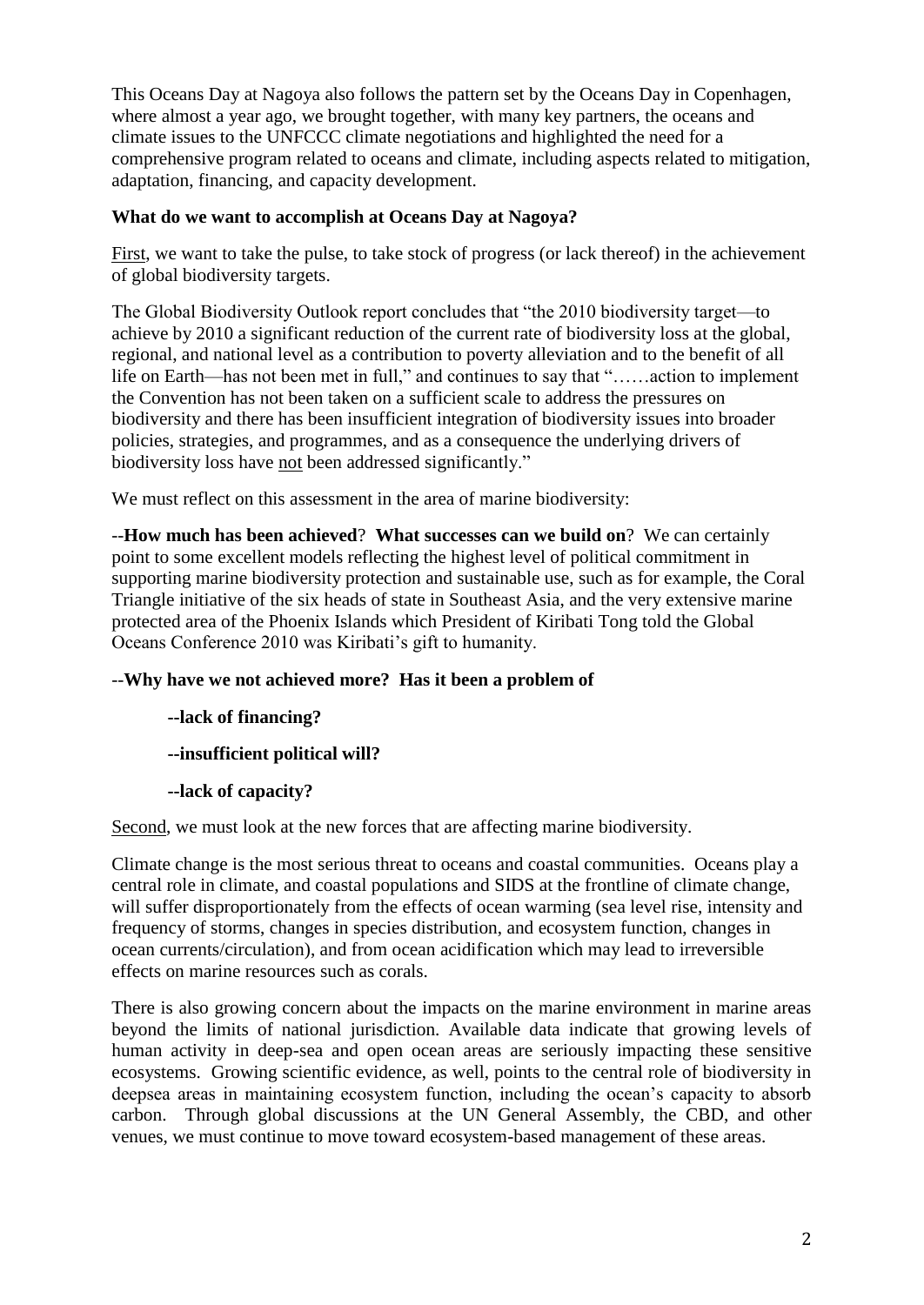This Oceans Day at Nagoya also follows the pattern set by the Oceans Day in Copenhagen, where almost a year ago, we brought together, with many key partners, the oceans and climate issues to the UNFCCC climate negotiations and highlighted the need for a comprehensive program related to oceans and climate, including aspects related to mitigation, adaptation, financing, and capacity development.

## **What do we want to accomplish at Oceans Day at Nagoya?**

First, we want to take the pulse, to take stock of progress (or lack thereof) in the achievement of global biodiversity targets.

The Global Biodiversity Outlook report concludes that "the 2010 biodiversity target—to achieve by 2010 a significant reduction of the current rate of biodiversity loss at the global, regional, and national level as a contribution to poverty alleviation and to the benefit of all life on Earth—has not been met in full," and continues to say that "……action to implement the Convention has not been taken on a sufficient scale to address the pressures on biodiversity and there has been insufficient integration of biodiversity issues into broader policies, strategies, and programmes, and as a consequence the underlying drivers of biodiversity loss have not been addressed significantly."

We must reflect on this assessment in the area of marine biodiversity:

--**How much has been achieved**? **What successes can we build on**? We can certainly point to some excellent models reflecting the highest level of political commitment in supporting marine biodiversity protection and sustainable use, such as for example, the Coral Triangle initiative of the six heads of state in Southeast Asia, and the very extensive marine protected area of the Phoenix Islands which President of Kiribati Tong told the Global Oceans Conference 2010 was Kiribati's gift to humanity.

## --**Why have we not achieved more? Has it been a problem of**

**--lack of financing?**

**--insufficient political will?**

**--lack of capacity?**

Second, we must look at the new forces that are affecting marine biodiversity.

Climate change is the most serious threat to oceans and coastal communities. Oceans play a central role in climate, and coastal populations and SIDS at the frontline of climate change, will suffer disproportionately from the effects of ocean warming (sea level rise, intensity and frequency of storms, changes in species distribution, and ecosystem function, changes in ocean currents/circulation), and from ocean acidification which may lead to irreversible effects on marine resources such as corals.

There is also growing concern about the impacts on the marine environment in marine areas beyond the limits of national jurisdiction. Available data indicate that growing levels of human activity in deep-sea and open ocean areas are seriously impacting these sensitive ecosystems. Growing scientific evidence, as well, points to the central role of biodiversity in deepsea areas in maintaining ecosystem function, including the ocean's capacity to absorb carbon. Through global discussions at the UN General Assembly, the CBD, and other venues, we must continue to move toward ecosystem-based management of these areas.